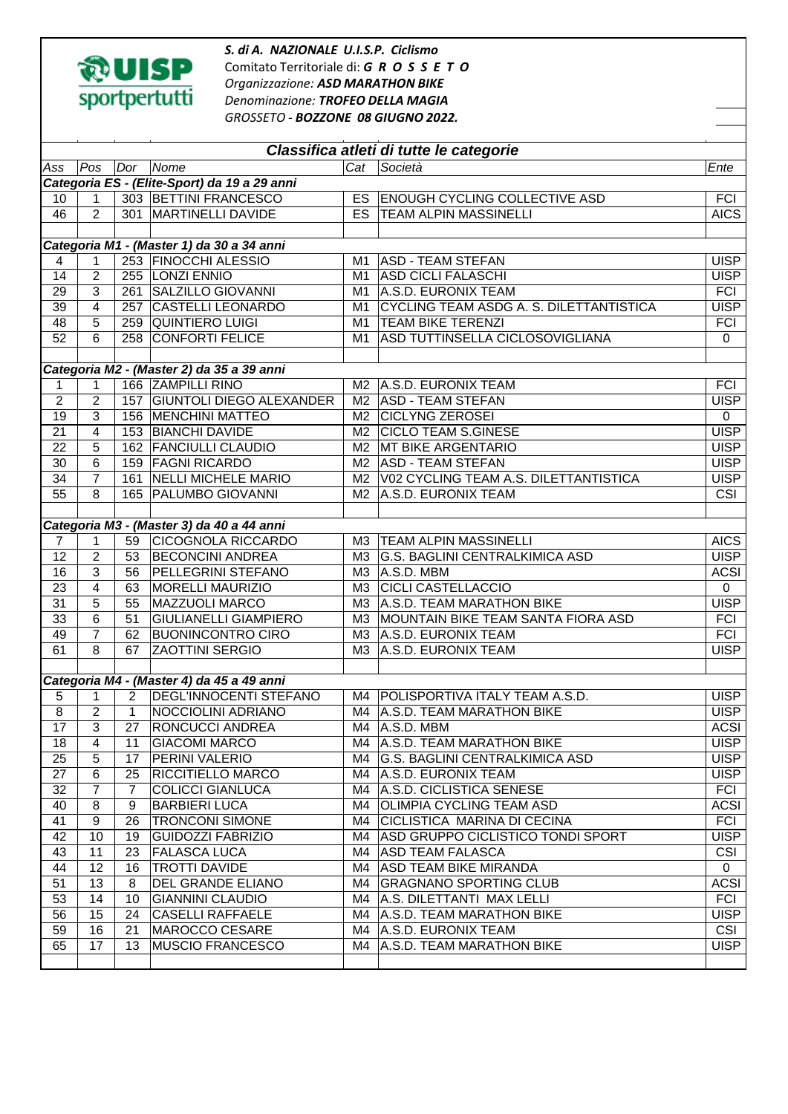

*S. di A. NAZIONALE U.I.S.P. Ciclismo* Comitato Territoriale di: *G R O S S E T O Organizzazione: ASD MARATHON BIKE Denominazione: TROFEO DELLA MAGIA GROSSETO - BOZZONE 08 GIUGNO 2022.* 

| Classifica atleti di tutte le categorie      |                |                |                                           |                |                                         |                         |  |  |  |  |  |
|----------------------------------------------|----------------|----------------|-------------------------------------------|----------------|-----------------------------------------|-------------------------|--|--|--|--|--|
| Ass                                          | Pos            | Dor            | Nome                                      | Cat            | $\overline{\text{Societ\`a}}$           | Ente                    |  |  |  |  |  |
| Categoria ES - (Elite-Sport) da 19 a 29 anni |                |                |                                           |                |                                         |                         |  |  |  |  |  |
| 10                                           | 1              |                | 303 BETTINI FRANCESCO                     | <b>ES</b>      | <b>ENOUGH CYCLING COLLECTIVE ASD</b>    | <b>FCI</b>              |  |  |  |  |  |
| 46                                           | 2              |                | 301 MARTINELLI DAVIDE                     | <b>ES</b>      | <b>TEAM ALPIN MASSINELLI</b>            | <b>AICS</b>             |  |  |  |  |  |
|                                              |                |                |                                           |                |                                         |                         |  |  |  |  |  |
| Categoria M1 - (Master 1) da 30 a 34 anni    |                |                |                                           |                |                                         |                         |  |  |  |  |  |
| $\overline{4}$                               | $\mathbf 1$    |                | 253 FINOCCHI ALESSIO                      | M1             | <b>ASD - TEAM STEFAN</b>                | <b>UISP</b>             |  |  |  |  |  |
| 14                                           | $\overline{2}$ |                | 255 LONZI ENNIO                           | M <sub>1</sub> | <b>ASD CICLI FALASCHI</b>               | <b>UISP</b>             |  |  |  |  |  |
| 29                                           | $\overline{3}$ | 261            | SALZILLO GIOVANNI                         | M1             | A.S.D. EURONIX TEAM                     | <b>FCI</b>              |  |  |  |  |  |
| 39                                           | $\overline{4}$ | 257            | <b>CASTELLI LEONARDO</b>                  | M1             | CYCLING TEAM ASDG A. S. DILETTANTISTICA | <b>UISP</b>             |  |  |  |  |  |
| 48                                           | 5              |                | 259 QUINTIERO LUIGI                       | M1             | <b>TEAM BIKE TERENZI</b>                | <b>FCI</b>              |  |  |  |  |  |
| 52                                           | 6              |                | 258 CONFORTI FELICE                       | M1             | ASD TUTTINSELLA CICLOSOVIGLIANA         | $\Omega$                |  |  |  |  |  |
|                                              |                |                |                                           |                |                                         |                         |  |  |  |  |  |
| Categoria M2 - (Master 2) da 35 a 39 anni    |                |                |                                           |                |                                         |                         |  |  |  |  |  |
| 1                                            | 1              |                | 166 ZAMPILLI RINO                         |                | M2   A.S.D. EURONIX TEAM                | <b>FCI</b>              |  |  |  |  |  |
| $\overline{c}$                               | 2              |                | 157 GIUNTOLI DIEGO ALEXANDER              | M2             | <b>ASD - TEAM STEFAN</b>                | <b>UISP</b>             |  |  |  |  |  |
| 19                                           | 3              |                | 156   MENCHINI MATTEO                     | M2             | <b>CICLYNG ZEROSEI</b>                  | 0                       |  |  |  |  |  |
| 21                                           | 4              |                | 153 BIANCHI DAVIDE                        | M2             | <b>CICLO TEAM S.GINESE</b>              | <b>UISP</b>             |  |  |  |  |  |
| 22                                           | 5              |                | 162 FANCIULLI CLAUDIO                     | M2             | <b>MT BIKE ARGENTARIO</b>               | <b>UISP</b>             |  |  |  |  |  |
| 30                                           | 6              |                | 159 FAGNI RICARDO                         | M2             | <b>ASD - TEAM STEFAN</b>                | <b>UISP</b>             |  |  |  |  |  |
| 34                                           | $\overline{7}$ | 161            | <b>NELLI MICHELE MARIO</b>                | M <sub>2</sub> | V02 CYCLING TEAM A.S. DILETTANTISTICA   | <b>UISP</b>             |  |  |  |  |  |
| $\overline{55}$                              | 8              |                | 165   PALUMBO GIOVANNI                    | M <sub>2</sub> | A.S.D. EURONIX TEAM                     | $\overline{\text{CSI}}$ |  |  |  |  |  |
|                                              |                |                |                                           |                |                                         |                         |  |  |  |  |  |
|                                              |                |                | Categoria M3 - (Master 3) da 40 a 44 anni |                |                                         |                         |  |  |  |  |  |
| $\overline{7}$                               | 1              | 59             | <b>CICOGNOLA RICCARDO</b>                 | M <sub>3</sub> | <b>TEAM ALPIN MASSINELLI</b>            | <b>AICS</b>             |  |  |  |  |  |
| 12                                           | $\overline{c}$ | 53             | <b>BECONCINI ANDREA</b>                   | M3             | G.S. BAGLINI CENTRALKIMICA ASD          | <b>UISP</b>             |  |  |  |  |  |
| 16                                           | 3              | 56             | PELLEGRINI STEFANO                        | ΜЗ             | A.S.D. MBM                              | <b>ACSI</b>             |  |  |  |  |  |
| 23                                           | 4              | 63             | <b>MORELLI MAURIZIO</b>                   | M <sub>3</sub> | <b>CICLI CASTELLACCIO</b>               | $\mathbf 0$             |  |  |  |  |  |
| 31                                           | 5              | 55             | <b>MAZZUOLI MARCO</b>                     | MЗ             | A.S.D. TEAM MARATHON BIKE               | <b>UISP</b>             |  |  |  |  |  |
| 33                                           | 6              | 51             | <b>GIULIANELLI GIAMPIERO</b>              | ΜЗ             | MOUNTAIN BIKE TEAM SANTA FIORA ASD      | <b>FCI</b>              |  |  |  |  |  |
| 49                                           | $\overline{7}$ | 62             | <b>BUONINCONTRO CIRO</b>                  | ΜЗ             | A.S.D. EURONIX TEAM                     | <b>FCI</b>              |  |  |  |  |  |
| 61                                           | 8              | 67             | <b>ZAOTTINI SERGIO</b>                    | M <sub>3</sub> | A.S.D. EURONIX TEAM                     | <b>UISP</b>             |  |  |  |  |  |
|                                              |                |                |                                           |                |                                         |                         |  |  |  |  |  |
|                                              |                |                | Categoria M4 - (Master 4) da 45 a 49 anni |                |                                         |                         |  |  |  |  |  |
| 5                                            | $\mathbf{1}$   | $\overline{2}$ | <b>DEGL'INNOCENTI STEFANO</b>             | M4             | POLISPORTIVA ITALY TEAM A.S.D.          | <b>UISP</b>             |  |  |  |  |  |
| $\overline{8}$                               | $\overline{2}$ | $\mathbf 1$    | <b>NOCCIOLINI ADRIANO</b>                 | M4             | A.S.D. TEAM MARATHON BIKE               | <b>UISP</b>             |  |  |  |  |  |
| $\overline{17}$                              | 3              | 27             | <b>RONCUCCI ANDREA</b>                    |                | $MA$ $ A.S.D. MBM$                      | <b>ACSI</b>             |  |  |  |  |  |
| 18                                           | 4              | 11             | <b>GIACOMI MARCO</b>                      |                | M4   A.S.D. TEAM MARATHON BIKE          | <b>UISP</b>             |  |  |  |  |  |
| 25                                           | 5              | 17             | <b>PERINI VALERIO</b>                     |                | M4 G.S. BAGLINI CENTRALKIMICA ASD       | <b>UISP</b>             |  |  |  |  |  |
| 27                                           | 6              | 25             | <b>RICCITIELLO MARCO</b>                  |                | M4   A.S.D. EURONIX TEAM                | <b>UISP</b>             |  |  |  |  |  |
| 32                                           | 7              | 7              | <b>COLICCI GIANLUCA</b>                   |                | M4 A.S.D. CICLISTICA SENESE             | FCI                     |  |  |  |  |  |
| 40                                           | 8              | 9              | <b>BARBIERI LUCA</b>                      | M4.            | <b>OLIMPIA CYCLING TEAM ASD</b>         | <b>ACSI</b>             |  |  |  |  |  |
| 41                                           | 9              | 26             | <b>TRONCONI SIMONE</b>                    | M4             | CICLISTICA MARINA DI CECINA             | <b>FCI</b>              |  |  |  |  |  |
| 42                                           | 10             | 19             | <b>GUIDOZZI FABRIZIO</b>                  |                | M4 ASD GRUPPO CICLISTICO TONDI SPORT    | <b>UISP</b>             |  |  |  |  |  |
| 43                                           | 11             | 23             | <b>FALASCA LUCA</b>                       |                | M4   ASD TEAM FALASCA                   | <b>CSI</b>              |  |  |  |  |  |
| 44                                           | 12             | 16             | <b>TROTTI DAVIDE</b>                      |                | M4 ASD TEAM BIKE MIRANDA                | $\mathbf{0}$            |  |  |  |  |  |
| 51                                           | 13             | 8              | DEL GRANDE ELIANO                         | M4.            | <b>GRAGNANO SPORTING CLUB</b>           | <b>ACSI</b>             |  |  |  |  |  |
| 53                                           | 14             | 10             | <b>GIANNINI CLAUDIO</b>                   |                | M4   A.S. DILETTANTI MAX LELLI          | <b>FCI</b>              |  |  |  |  |  |
| 56                                           | 15             | 24             | CASELLI RAFFAELE                          |                | M4   A.S.D. TEAM MARATHON BIKE          | <b>UISP</b>             |  |  |  |  |  |
| 59                                           | 16             | 21             | MAROCCO CESARE                            |                | M4   A.S.D. EURONIX TEAM                | CSI                     |  |  |  |  |  |
| 65                                           | 17             | 13             | <b>MUSCIO FRANCESCO</b>                   | M4.            | A.S.D. TEAM MARATHON BIKE               | <b>UISP</b>             |  |  |  |  |  |
|                                              |                |                |                                           |                |                                         |                         |  |  |  |  |  |